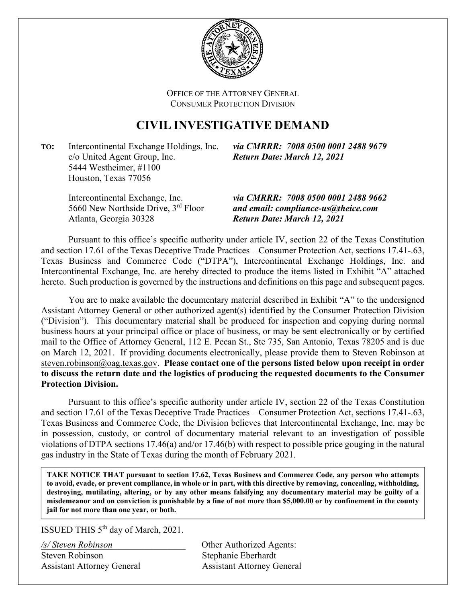

OFFICE OF THE ATTORNEY GENERAL CONSUMER PROTECTION DIVISION

## **CIVIL INVESTIGATIVE DEMAND**

**TO:** Intercontinental Exchange Holdings, Inc. *via CMRRR: 7008 0500 0001 2488 9679* c/o United Agent Group, Inc. *Return Date: March 12, 2021* 5444 Westheimer, #1100 Houston, Texas 77056

Atlanta, Georgia 30328 *Return Date: March 12, 2021*

Intercontinental Exchange, Inc. *via CMRRR: 7008 0500 0001 2488 9662* 5660 New Northside Drive, 3rd Floor *and email: compliance-us@theice.com*

Pursuant to this office's specific authority under article IV, section 22 of the Texas Constitution and section 17.61 of the Texas Deceptive Trade Practices – Consumer Protection Act, sections 17.41-.63, Texas Business and Commerce Code ("DTPA"), Intercontinental Exchange Holdings, Inc. and Intercontinental Exchange, Inc. are hereby directed to produce the items listed in Exhibit "A" attached hereto. Such production is governed by the instructions and definitions on this page and subsequent pages.

You are to make available the documentary material described in Exhibit "A" to the undersigned Assistant Attorney General or other authorized agent(s) identified by the Consumer Protection Division ("Division"). This documentary material shall be produced for inspection and copying during normal business hours at your principal office or place of business, or may be sent electronically or by certified mail to the Office of Attorney General, 112 E. Pecan St., Ste 735, San Antonio, Texas 78205 and is due on March 12, 2021. If providing documents electronically, please provide them to Steven Robinson at steven.robinson@oag.texas.gov. **Please contact one of the persons listed below upon receipt in order to discuss the return date and the logistics of producing the requested documents to the Consumer Protection Division.** 

Pursuant to this office's specific authority under article IV, section 22 of the Texas Constitution and section 17.61 of the Texas Deceptive Trade Practices – Consumer Protection Act, sections 17.41-.63, Texas Business and Commerce Code, the Division believes that Intercontinental Exchange, Inc. may be in possession, custody, or control of documentary material relevant to an investigation of possible violations of DTPA sections 17.46(a) and/or 17.46(b) with respect to possible price gouging in the natural gas industry in the State of Texas during the month of February 2021.

**TAKE NOTICE THAT pursuant to section 17.62, Texas Business and Commerce Code, any person who attempts to avoid, evade, or prevent compliance, in whole or in part, with this directive by removing, concealing, withholding, destroying, mutilating, altering, or by any other means falsifying any documentary material may be guilty of a misdemeanor and on conviction is punishable by a fine of not more than \$5,000.00 or by confinement in the county jail for not more than one year, or both.**

ISSUED THIS 5th day of March, 2021.

Steven Robinson Stephanie Eberhardt

*/s/ Steven Robinson*\_\_\_\_\_\_\_\_\_\_\_\_\_\_\_\_ Other Authorized Agents: Assistant Attorney General Assistant Attorney General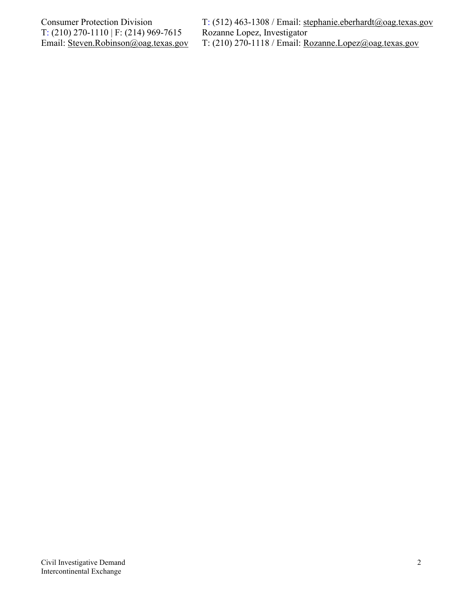T: (210) 270-1110 | F: (214) 969-7615<br>Email: <u>Steven.Robinson@oag.texas.gov</u>

Consumer Protection Division T: (512) 463-1308 / Email: [stephanie.eberhardt@oag.texas.gov](mailto:stephanie.eberhardt@oag.texas.gov) Email: Steven.Robinson@oag.texas.gov T: (210) 270-1118 / Email: Rozanne.Lopez@oag.texas.gov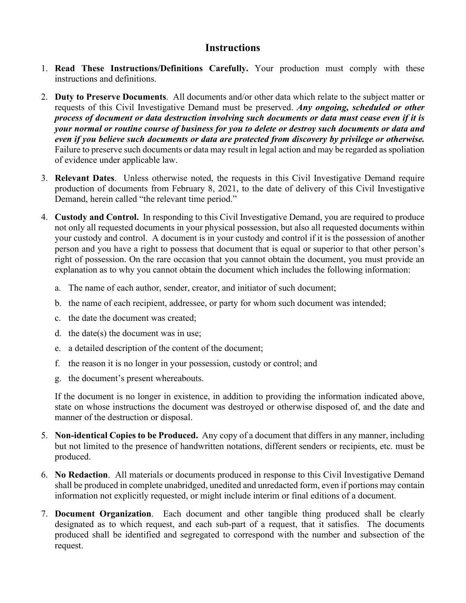## **Instructions**

- 1. **Read These Instructions/Definitions Carefully.** Your production must comply with these instructions and definitions.
- 2. **Duty to Preserve Documents**. All documents and/or other data which relate to the subject matter or requests of this Civil Investigative Demand must be preserved. *Any ongoing, scheduled or other process of document or data destruction involving such documents or data must cease even if it is your normal or routine course of business for you to delete or destroy such documents or data and even if you believe such documents or data are protected from discovery by privilege or otherwise.* Failure to preserve such documents or data may result in legal action and may be regarded as spoliation of evidence under applicable law.
- 3. **Relevant Dates**. Unless otherwise noted, the requests in this Civil Investigative Demand require production of documents from February 8, 2021, to the date of delivery of this Civil Investigative Demand, herein called "the relevant time period."
- 4. **Custody and Control.** In responding to this Civil Investigative Demand, you are required to produce not only all requested documents in your physical possession, but also all requested documents within your custody and control. A document is in your custody and control if it is the possession of another person and you have a right to possess that document that is equal or superior to that other person's right of possession. On the rare occasion that you cannot obtain the document, you must provide an explanation as to why you cannot obtain the document which includes the following information:
	- a. The name of each author, sender, creator, and initiator of such document;
	- b. the name of each recipient, addressee, or party for whom such document was intended;
	- c. the date the document was created;
	- d. the date(s) the document was in use;
	- e. a detailed description of the content of the document;
	- f. the reason it is no longer in your possession, custody or control; and
	- g. the document's present whereabouts.

If the document is no longer in existence, in addition to providing the information indicated above, state on whose instructions the document was destroyed or otherwise disposed of, and the date and manner of the destruction or disposal.

- 5. **Non-identical Copies to be Produced.** Any copy of a document that differs in any manner, including but not limited to the presence of handwritten notations, different senders or recipients, etc. must be produced.
- 6. **No Redaction**. All materials or documents produced in response to this Civil Investigative Demand shall be produced in complete unabridged, unedited and unredacted form, even if portions may contain information not explicitly requested, or might include interim or final editions of a document.
- 7. **Document Organization**. Each document and other tangible thing produced shall be clearly designated as to which request, and each sub-part of a request, that it satisfies. The documents produced shall be identified and segregated to correspond with the number and subsection of the request.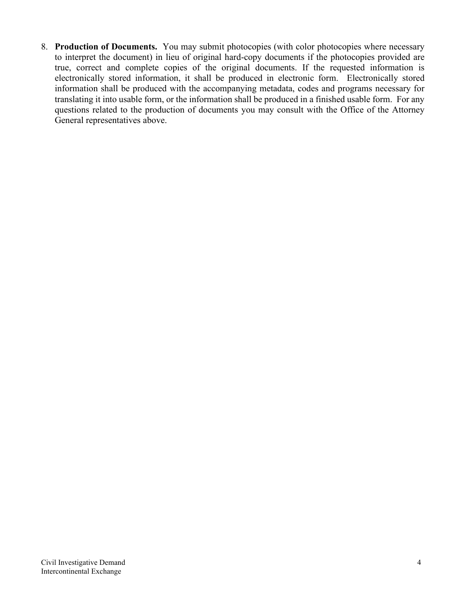8. **Production of Documents.** You may submit photocopies (with color photocopies where necessary to interpret the document) in lieu of original hard-copy documents if the photocopies provided are true, correct and complete copies of the original documents. If the requested information is electronically stored information, it shall be produced in electronic form. Electronically stored information shall be produced with the accompanying metadata, codes and programs necessary for translating it into usable form, or the information shall be produced in a finished usable form. For any questions related to the production of documents you may consult with the Office of the Attorney General representatives above.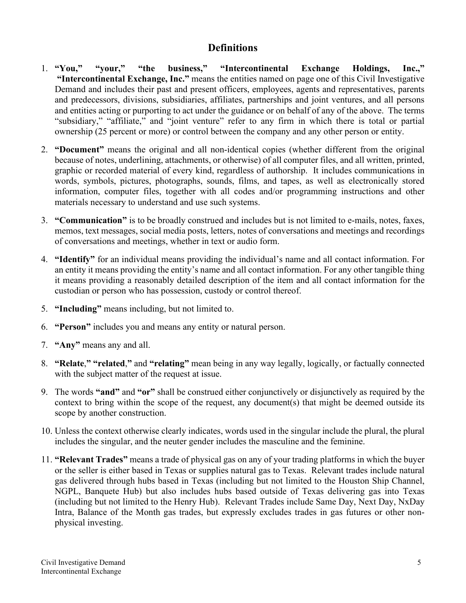## **Definitions**

- 1. **"You," "your," "the business," "Intercontinental Exchange Holdings, Inc.," "Intercontinental Exchange, Inc."** means the entities named on page one of this Civil Investigative Demand and includes their past and present officers, employees, agents and representatives, parents and predecessors, divisions, subsidiaries, affiliates, partnerships and joint ventures, and all persons and entities acting or purporting to act under the guidance or on behalf of any of the above. The terms "subsidiary," "affiliate," and "joint venture" refer to any firm in which there is total or partial ownership (25 percent or more) or control between the company and any other person or entity.
- 2. **"Document"** means the original and all non-identical copies (whether different from the original because of notes, underlining, attachments, or otherwise) of all computer files, and all written, printed, graphic or recorded material of every kind, regardless of authorship. It includes communications in words, symbols, pictures, photographs, sounds, films, and tapes, as well as electronically stored information, computer files, together with all codes and/or programming instructions and other materials necessary to understand and use such systems.
- 3. **"Communication"** is to be broadly construed and includes but is not limited to e-mails, notes, faxes, memos, text messages, social media posts, letters, notes of conversations and meetings and recordings of conversations and meetings, whether in text or audio form.
- 4. **"Identify"** for an individual means providing the individual's name and all contact information. For an entity it means providing the entity's name and all contact information. For any other tangible thing it means providing a reasonably detailed description of the item and all contact information for the custodian or person who has possession, custody or control thereof.
- 5. **"Including"** means including, but not limited to.
- 6. **"Person"** includes you and means any entity or natural person.
- 7. **"Any"** means any and all.
- 8. **"Relate**,**" "related**,**"** and **"relating"** mean being in any way legally, logically, or factually connected with the subject matter of the request at issue.
- 9. The words **"and"** and **"or"** shall be construed either conjunctively or disjunctively as required by the context to bring within the scope of the request, any document(s) that might be deemed outside its scope by another construction.
- 10. Unless the context otherwise clearly indicates, words used in the singular include the plural, the plural includes the singular, and the neuter gender includes the masculine and the feminine.
- 11. **"Relevant Trades"** means a trade of physical gas on any of your trading platforms in which the buyer or the seller is either based in Texas or supplies natural gas to Texas. Relevant trades include natural gas delivered through hubs based in Texas (including but not limited to the Houston Ship Channel, NGPL, Banquete Hub) but also includes hubs based outside of Texas delivering gas into Texas (including but not limited to the Henry Hub). Relevant Trades include Same Day, Next Day, NxDay Intra, Balance of the Month gas trades, but expressly excludes trades in gas futures or other nonphysical investing.